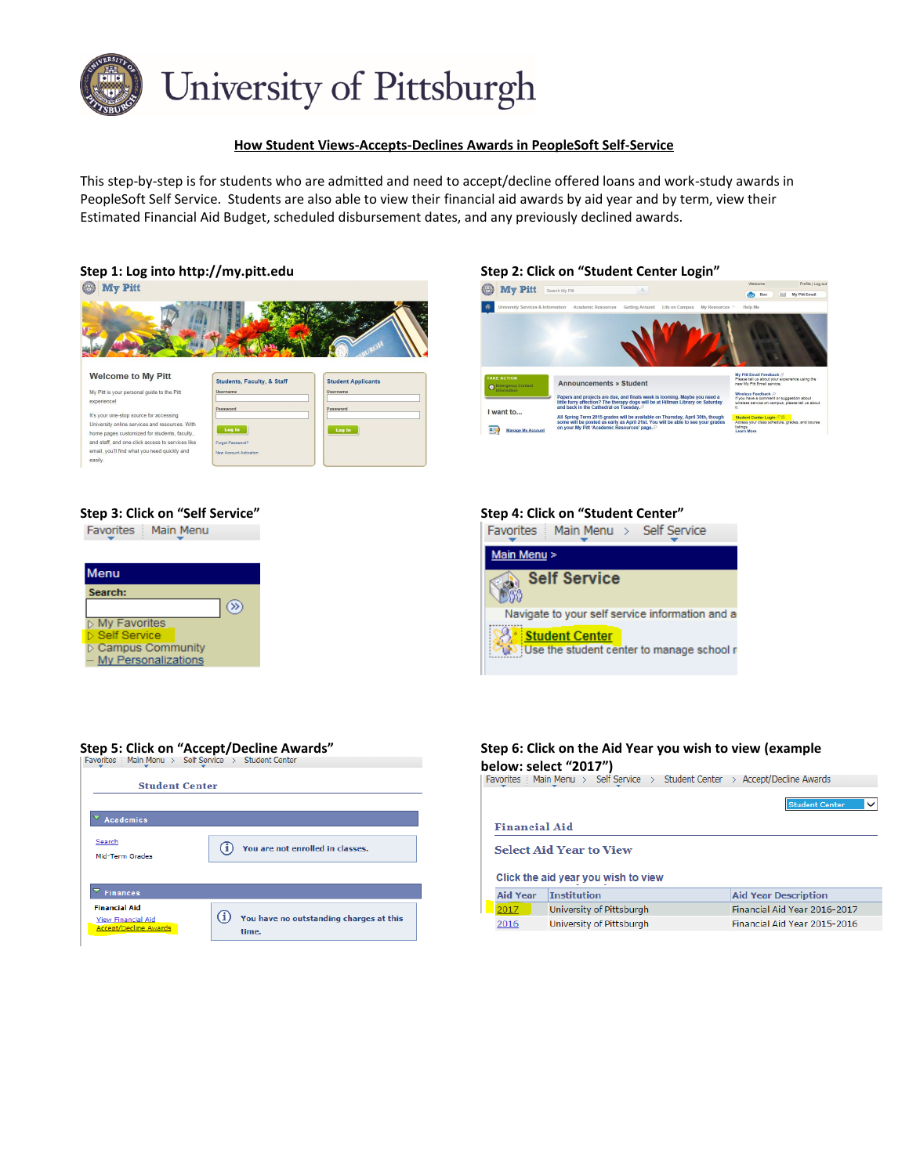

## **How Student Views-Accepts-Declines Awards in PeopleSoft Self-Service**

This step-by-step is for students who are admitted and need to accept/decline offered loans and work-study awards in PeopleSoft Self Service. Students are also able to view their financial aid awards by aid year and by term, view their Estimated Financial Aid Budget, scheduled disbursement dates, and any previously declined awards.





### **Step 5: Click on "Accept/Decline Awards"**

| <b>Student Center</b>                                                             |                                                  |
|-----------------------------------------------------------------------------------|--------------------------------------------------|
| <b>Academics</b>                                                                  |                                                  |
| Search<br>Mid-Term Grades                                                         | You are not enrolled in classes.                 |
| <b>Finances</b>                                                                   |                                                  |
| <b>Financial Aid</b><br><b>View Financial Aid</b><br><b>Accept/Decline Awards</b> | You have no outstanding charges at this<br>time. |

| Step 6: Click on the Aid Year you wish to view (example<br>oelow: select "2017")<br>Favorites   Main Menu > Self Service > Student Center > Accept/Decline Awards |                                |                                       |  |  |  |  |  |
|-------------------------------------------------------------------------------------------------------------------------------------------------------------------|--------------------------------|---------------------------------------|--|--|--|--|--|
| Financial Aid                                                                                                                                                     |                                | <b>Student Center</b><br>$\checkmark$ |  |  |  |  |  |
|                                                                                                                                                                   | <b>Select Aid Year to View</b> |                                       |  |  |  |  |  |
| Click the aid year you wish to view                                                                                                                               |                                |                                       |  |  |  |  |  |
| <b>Aid Year</b>                                                                                                                                                   | <b>Institution</b>             | <b>Aid Year Description</b>           |  |  |  |  |  |
| 2017                                                                                                                                                              | University of Pittsburgh       | Financial Aid Year 2016-2017          |  |  |  |  |  |

Financial Aid Year 2015-2016



# **Step 3: Click on "Self Service" Step 4: Click on "Student Center"**<br> **Favorites** | Main Menu | Self Services | Main Menu | Self Services | Main Menu | Self Services | Main Menu | Self Ser

Favorites | Main Menu > Self Service



# **below: select "2017")**

University of Pittsburgh

 $2016$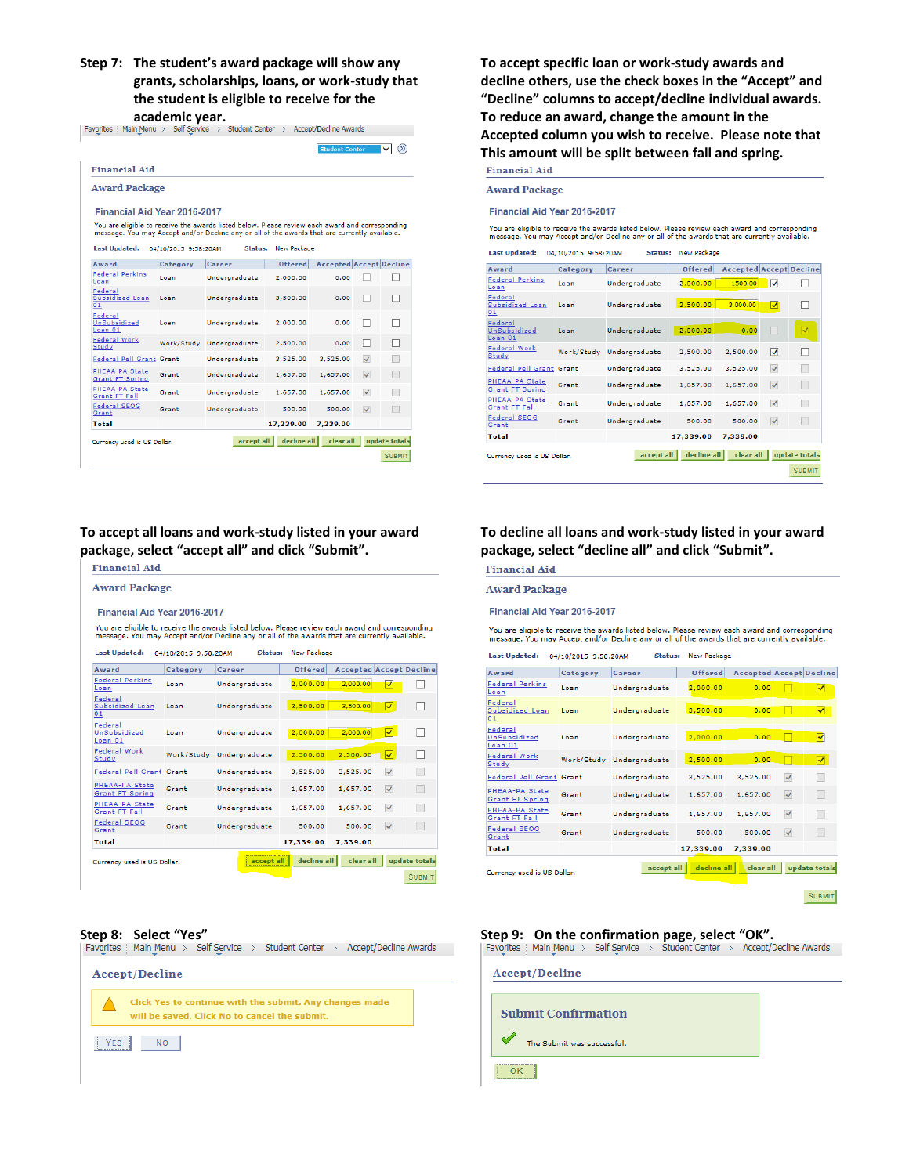**Step 7: The student's award package will show any grants, scholarships, loans, or work-study that the student is eligible to receive for the** 

**academic year.**<br>
Favorites | Main\_Menu > Self Service > Student Center > Accept/Decline Awards

| <b>Award Package</b>                                                                                                                                                                             |                      |                          |                    |                                |                            |  |  |
|--------------------------------------------------------------------------------------------------------------------------------------------------------------------------------------------------|----------------------|--------------------------|--------------------|--------------------------------|----------------------------|--|--|
| <b>Financial Aid Year 2016-2017</b>                                                                                                                                                              |                      |                          |                    |                                |                            |  |  |
| You are eligible to receive the awards listed below. Please review each award and corresponding<br>message. You may Accept and/or Decline any or all of the awards that are currently available. |                      |                          |                    |                                |                            |  |  |
| <b>Last Updated:</b>                                                                                                                                                                             | 04/10/2015 9:58:20AM | Status:                  | <b>New Package</b> |                                |                            |  |  |
| Award                                                                                                                                                                                            | Category             | Career                   | Offered            | <b>Accepted Accept Decline</b> |                            |  |  |
| <b>Federal Perkins</b><br>Loan                                                                                                                                                                   | Loan                 | Undergraduate            | 2.000.00           | 0.00                           |                            |  |  |
| <b>Federal</b><br>Subsidized Loan<br>01                                                                                                                                                          | Loan                 | Undergraduate            | 3.500.00           | 0.00                           |                            |  |  |
| Federal<br>UnSubsidized<br>Lean 01                                                                                                                                                               | Loan                 | Undergraduate            | 2.000.00           | 0.00                           |                            |  |  |
| Federal Work<br>Study                                                                                                                                                                            |                      | Work/Study Undergraduate | 2.500.00           | 0.00                           |                            |  |  |
| Federal Pell Grant Grant                                                                                                                                                                         |                      | Undergraduate            | 3.525.00           | 3.525.00                       | $\boldsymbol{\mathcal{L}}$ |  |  |
| PHEAA-PA State<br><b>Grant FT Spring</b>                                                                                                                                                         | Grant                | Undergraduate            | 1,657.00           | 1.657.00                       | $\checkmark$               |  |  |
| <b>PHEAA-PA State</b><br>Grant FT Fall                                                                                                                                                           | Grant                | Undergraduate            | 1.657.00           | 1.657.00                       | $\checkmark$               |  |  |
| <b>Federal SEOG</b><br>Grant                                                                                                                                                                     | Grant                | Undergraduate            | 500.00             | 500.00                         | $\checkmark$               |  |  |
| Total                                                                                                                                                                                            |                      |                          | 17,339.00          | 7,339.00                       |                            |  |  |

**To accept all loans and work-study listed in your award package, select "accept all" and click "Submit".**

| Financial Aid                                                                                                                                                                                    |                      |                          |             |                                |                          |               |
|--------------------------------------------------------------------------------------------------------------------------------------------------------------------------------------------------|----------------------|--------------------------|-------------|--------------------------------|--------------------------|---------------|
| <b>Award Package</b>                                                                                                                                                                             |                      |                          |             |                                |                          |               |
| <b>Financial Aid Year 2016-2017</b>                                                                                                                                                              |                      |                          |             |                                |                          |               |
| You are eligible to receive the awards listed below. Please review each award and corresponding<br>message. You may Accept and/or Decline any or all of the awards that are currently available. |                      |                          |             |                                |                          |               |
| <b>Last Updated:</b>                                                                                                                                                                             | 04/10/2015 9:58:20AM | Status:                  | New Package |                                |                          |               |
| Award                                                                                                                                                                                            | Category             | Career                   | Offered     | <b>Accepted Accept Decline</b> |                          |               |
| <b>Federal Perkins</b><br>Loan                                                                                                                                                                   | Loan                 | Undergraduate            | 2,000,00    | 2,000,00                       | ᢦ                        |               |
| Federal<br><b>Subsidized Loan</b><br>01                                                                                                                                                          | Loan                 | Undergraduate            | 3,500.00    | 3,500.00                       | ⊡                        |               |
| Federal<br>UnSubsidized<br>Loan 01                                                                                                                                                               | Loan                 | Undergraduate            | 2,000.00    | 2.000.00                       | ⊡                        |               |
| <b>Federal Work</b><br>Study                                                                                                                                                                     |                      | Work/Study Undergraduate | 2.500.00    | 2,500,00                       | ⊽                        |               |
| Federal Pell Grant Grant                                                                                                                                                                         |                      | Undergraduate            | 3.525.00    | 3.525.00                       | $\overline{\mathcal{L}}$ |               |
| PHEAA-PA State<br>Grant FT Spring                                                                                                                                                                | Grant                | Undergraduate            | 1,657,00    | 1,657.00                       | $\checkmark$             |               |
| PHEAA-PA State<br><b>Grant FT Fall</b>                                                                                                                                                           | Grant                | Undergraduate            | 1,657,00    | 1,657.00                       | $\checkmark$             |               |
| Federal SEOG<br>Grant                                                                                                                                                                            | Grant                | Undergraduate            | 500.00      | 500.00                         | $\checkmark$             |               |
| Total                                                                                                                                                                                            |                      |                          | 17,339.00   | 7,339.00                       |                          |               |
| Currency used is US Dollar.                                                                                                                                                                      |                      | accept all               | decline all | clear all                      |                          | update total  |
|                                                                                                                                                                                                  |                      |                          |             |                                |                          | <b>SUBMIT</b> |

|            | <b>Accept/Decline</b>                                                                                    |  |
|------------|----------------------------------------------------------------------------------------------------------|--|
|            | Click Yes to continue with the submit. Any changes made<br>will be saved. Click No to cancel the submit. |  |
| <b>YES</b> | <b>NO</b>                                                                                                |  |

**To accept specific loan or work-study awards and decline others, use the check boxes in the "Accept" and "Decline" columns to accept/decline individual awards. To reduce an award, change the amount in the Accepted column you wish to receive. Please note that This amount will be split between fall and spring.**

**Award Package** 

Financial Aid Year 2016-2017

You are eligible to receive the awards listed below. Please review each award and corresponding<br>message. You may Accept and/or Decline any or all of the awards that are currently available.

| <b>Last Updated:</b>                     | 04/10/2015 9:58:20AM | <b>Status:</b> | New Package    |                                |              |                         |
|------------------------------------------|----------------------|----------------|----------------|--------------------------------|--------------|-------------------------|
| Award                                    | Category             | Career         | <b>Offered</b> | <b>Accepted Accept Decline</b> |              |                         |
| <b>Federal Perkins</b><br>Loan           | Loan                 | Undergraduate  | 2,000.00       | 1500.00                        | ᢦ            |                         |
| Federal<br>Subsidized Loan<br>01         | Loan                 | Undergraduate  | 3,500.00       | 3,000,00                       | ▿            |                         |
| Federal<br>UnSubsidized<br>Loan 01       | Loan                 | Undergraduate  | 2,000.00       | 0.00                           |              | $\overline{\mathsf{v}}$ |
| Federal Work<br>Study                    | Work/Study           | Undergraduate  | 2,500.00       | 2,500.00                       | ⊽            | ш                       |
| Federal Pell Grant Grant                 |                      | Undergraduate  | 3,525.00       | 3.525.00                       | $\checkmark$ | Г                       |
| PHEAA-PA State<br><b>Grant FT Spring</b> | Grant                | Undergraduate  | 1,657.00       | 1,657,00                       | $\checkmark$ | u.                      |
| PHEAA-PA State<br>Grant FT Fall          | Grant                | Undergraduate  | 1,657.00       | 1,657,00                       | $\checkmark$ |                         |
| Federal SEOG<br>Grant                    | Grant                | Undergraduate  | 500.00         | 500.00                         | $\checkmark$ |                         |
| <b>Total</b>                             |                      |                | 17,339.00      | 7,339.00                       |              |                         |
| Currency used is US Dollar.              |                      | accept all     | decline all    | clear all                      |              | update totals           |
|                                          |                      |                |                |                                |              | <b>SUBMIT</b>           |

## **To decline all loans and work-study listed in your award package, select "decline all" and click "Submit".**

**Financial Aid** 

### **Award Package**

Financial Aid Year 2016-2017

You are eligible to receive the awards listed below. Please review each award and corresponding<br>message. You may Accept and/or Decline any or all of the awards that are currently available.

| <b>Last Updated:</b>                                                                   | 04/10/2015 9:58:20AM | New Package<br>Status:   |           |                                |                         |                         |  |
|----------------------------------------------------------------------------------------|----------------------|--------------------------|-----------|--------------------------------|-------------------------|-------------------------|--|
| Award                                                                                  | Category             | Career                   | Offered   | <b>Accepted Accept Decline</b> |                         |                         |  |
| <b>Federal Perkins</b><br>Loan                                                         | Loan                 | Undergraduate            | 2,000.00  | 0.00                           |                         | ▿                       |  |
| Federal<br>Subsidized Loan<br>01                                                       | Loan                 | Undergraduate            | 3,500,00  | 0.00                           |                         | ▿                       |  |
| Federal<br>UnSubsidized<br>Loan 01                                                     | Loan                 | Undergraduate            | 2,000.00  | 0.00                           |                         | ▿                       |  |
| <b>Federal Work</b><br>Study                                                           |                      | Work/Study Undergraduate | 2,500.00  | 0.00                           | <b>Service Service</b>  | $\overline{\mathsf{v}}$ |  |
| <b>Federal Pell Grant Grant</b>                                                        |                      | Undergraduate            | 3,525,00  | 3.525.00                       | $\overline{\mathsf{v}}$ |                         |  |
| PHEAA-PA State<br><b>Grant FT Spring</b>                                               | Grant                | Undergraduate            | 1,657.00  | 1.657.00                       | $\checkmark$            | П                       |  |
| PHEAA-PA State<br>Grant FT Fall                                                        | Grant                | Undergraduate            | 1.657.00  | 1.657.00                       | $\prec$                 |                         |  |
| <b>Federal SEOG</b><br>Grant                                                           | Grant                | Undergraduate            | 500.00    | 500.00                         | $\checkmark$            |                         |  |
| Total                                                                                  |                      |                          | 17,339.00 | 7.339.00                       |                         |                         |  |
| decline all<br>clear all<br>update totals<br>accept all<br>Currency used is US Dollar. |                      |                          |           |                                |                         |                         |  |

SUBMIT

## **Step 8: Select "Yes" Step 9: On the confirmation page, select "OK".** Suppose the step 9: On the confirmation page, select "OK". **Suppose the confirmation page, select "OK". Provertive and Step 9:** On the confirmation

| <b>Accept/Decline</b>      |  |  |  |  |  |
|----------------------------|--|--|--|--|--|
|                            |  |  |  |  |  |
| <b>Submit Confirmation</b> |  |  |  |  |  |
| The Submit was successful. |  |  |  |  |  |
| ΩK                         |  |  |  |  |  |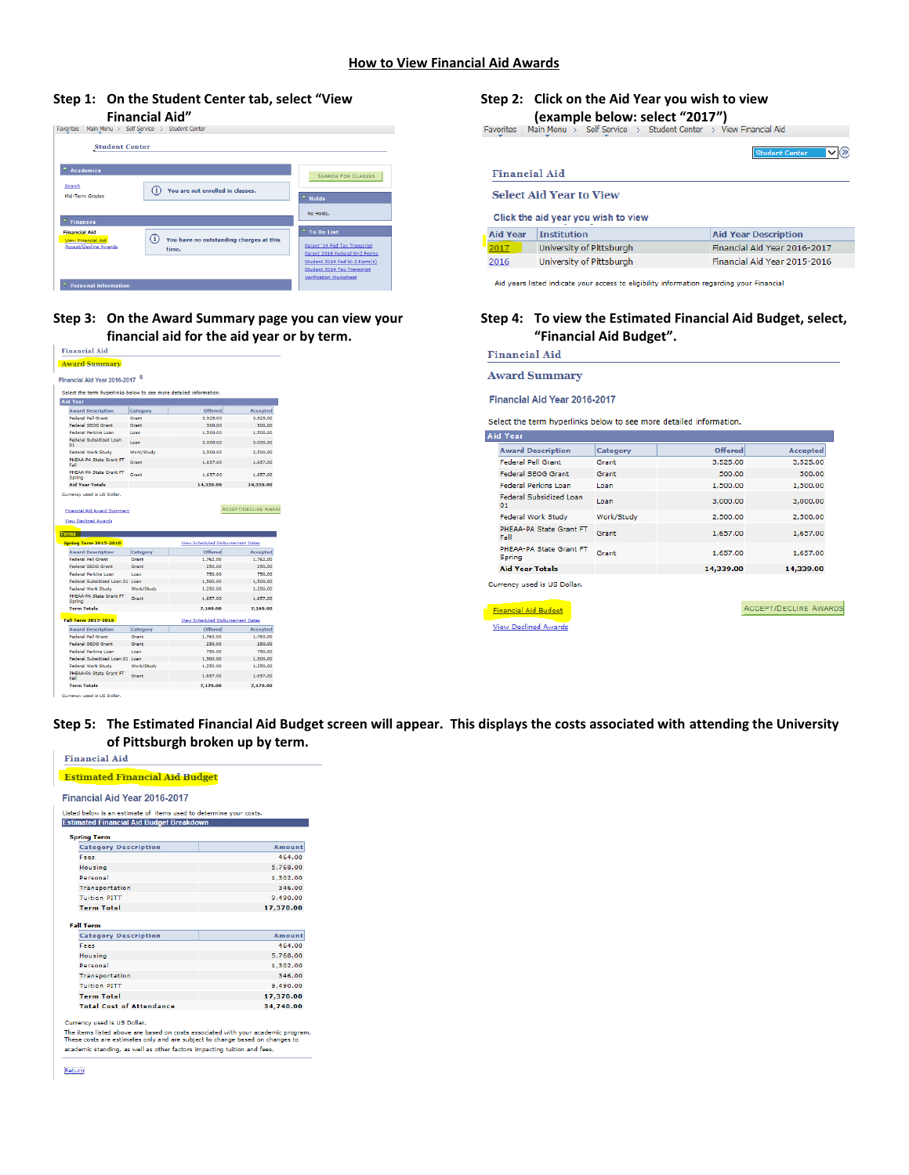# **Step 1: On the Student Center tab, select "View**



## **Step 3: On the Award Summary page you can view your financial aid for the aid year or by term.**

|                                                                             | 6          |                                          |                 |
|-----------------------------------------------------------------------------|------------|------------------------------------------|-----------------|
| Financial Aid Year 2016-2017                                                |            |                                          |                 |
| Select the term hyperlinks below to see more detailed information.          |            |                                          |                 |
| <b>Aid Year</b>                                                             |            |                                          |                 |
| <b>Award Description</b>                                                    | Category   | Offered                                  | <b>Accepted</b> |
| <b>Federal Pell Grant</b>                                                   | Grant      | 3,525.00                                 | 3,525.00        |
| <b>Federal SEOG Grant</b>                                                   | Grant      | 500.00                                   | 500.00          |
| <b>Federal Perkins Loan</b>                                                 | Loan       | 1.500.00                                 | 1.500.00        |
| Federal Subsidized Loan<br>01                                               | Loan       | 3,000.00                                 | 3,000.00        |
| Federal Work Study                                                          | Work/Study | 2,500.00                                 | 2,500.00        |
| PHEAA-PA State Grant FT<br>Fall                                             | Grant      | 1.657.00                                 | 1.657.00        |
| PHEAA-PA State Grant FT<br>Spring                                           | Grant      | 1.657.00                                 | 1.657.00        |
| <b>Aid Year Totals</b>                                                      |            | 14.339.00                                | 14,339,00       |
|                                                                             |            |                                          |                 |
| <b>View Declined Awards</b><br><b>Terms</b><br><b>Spring Term 2015-2016</b> |            | <b>View Scheduled Disbursement Dates</b> |                 |
| <b>Award Description</b>                                                    | Category   | Offered                                  | <b>Accepted</b> |
| <b>Federal Pell Grant</b>                                                   | Grant      | 1.762.00                                 | 1.762.00        |
| Federal SEOG Grant                                                          | Grant      | 250.00                                   | 250.00          |
| <b>Federal Perkins Loan</b>                                                 | Loan       | 750.00                                   | 750.00          |
| Federal Subsidized Loan 01 Loan                                             |            | 1.500.00                                 | 1.500.00        |
| Federal Work Study                                                          | Work/Study | 1,250.00                                 | 1,250.00        |
| PHEAA-PA State Grant FT<br>Spring                                           | Grant      | 1,657.00                                 | 1.657.00        |
| <b>Term Totals</b>                                                          |            | 7.169.00                                 | 7.169.00        |
| <b>Fall Term 2015-2016</b>                                                  |            | View Scheduled Disbursement Dates        |                 |
| <b>Award Description</b>                                                    | Category   | <b>Offered</b>                           | <b>Accepted</b> |
| <b>Federal Pell Grant</b>                                                   | Grant      | 1.763.00                                 | 1.763.00        |
| <b>Federal SEOG Grant</b>                                                   | Grant      | 250.00                                   | 250.00          |
| Federal Perkins Loan                                                        | Loan       | 750.00                                   | 750.00          |
| Federal Subsidized Loan 01 Loan                                             |            | 1.500.00                                 | 1.500.00        |
| Federal Work Study                                                          | Work/Study | 1.250.00                                 | 1.250.00        |
| PHEAA-PA State Grant FT<br>Fall                                             | Grant      | 1,657,00                                 | 1,657.00        |

## **Step 2: Click on the Aid Year you wish to view**

**(example below: select "2017")**<br>Favorites | Main Menu > Self Service > Student Center > View Financial Aid

|                 | $\vee$ $\infty$<br><b>Student Center</b>                              |                              |  |  |  |  |  |  |  |
|-----------------|-----------------------------------------------------------------------|------------------------------|--|--|--|--|--|--|--|
| Financial Aid   |                                                                       |                              |  |  |  |  |  |  |  |
|                 | <b>Select Aid Year to View</b><br>Click the aid year you wish to view |                              |  |  |  |  |  |  |  |
| <b>Aid Year</b> | <b>Institution</b>                                                    | <b>Aid Year Description</b>  |  |  |  |  |  |  |  |
| 2017            | University of Pittsburgh                                              | Financial Aid Year 2016-2017 |  |  |  |  |  |  |  |
| 2016            | University of Pittsburgh                                              | Financial Aid Year 2015-2016 |  |  |  |  |  |  |  |

Aid years listed indicate your access to eligibility information regarding your Financial

### **Step 4: To view the Estimated Financial Aid Budget, select, "Financial Aid Budget".**

**Financial Aid** 

**Award Summary** 

Financial Aid Year 2016-2017

Select the term hyperlinks below to see more detailed information.

|  | Aid Year                                 |            |           |                 |
|--|------------------------------------------|------------|-----------|-----------------|
|  | <b>Award Description</b>                 | Category   | Offered   | <b>Accepted</b> |
|  | <b>Federal Pell Grant</b>                | Grant      | 3,525.00  | 3,525.00        |
|  | <b>Federal SEOG Grant</b>                | Grant      | 500.00    | 500.00          |
|  | <b>Federal Perkins Loan</b>              | Loan       | 1,500.00  | 1,500.00        |
|  | Federal Subsidized Loan<br>01            | Loan       | 3,000,00  | 3,000.00        |
|  | Federal Work Study                       | Work/Study | 2,500.00  | 2,500.00        |
|  | PHEAA-PA State Grant FT<br>Fall          | Grant      | 1,657.00  | 1,657.00        |
|  | PHEAA-PA State Grant FT<br><b>Spring</b> | Grant      | 1,657.00  | 1,657.00        |
|  | <b>Aid Year Totals</b>                   |            | 14,339.00 | 14,339.00       |
|  | Currency used is US Dollar.              |            |           |                 |

ACCEPT/DECLINE AWARDS

**Financial Aid Budget** View Declined Awards

**Step 5: The Estimated Financial Aid Budget screen will appear. This displays the costs associated with attending the University of Pittsburgh broken up by term. Financial Aid** 

| <b>Estimated Financial Aid Budget</b>                              |               |  |  |  |  |  |
|--------------------------------------------------------------------|---------------|--|--|--|--|--|
| <b>Financial Aid Year 2016-2017</b>                                |               |  |  |  |  |  |
| Listed below is an estimate of items used to determine your costs. |               |  |  |  |  |  |
| <b>Estimated Financial Aid Budget Breakdown</b>                    |               |  |  |  |  |  |
| Spring Term                                                        |               |  |  |  |  |  |
| <b>Category Description</b>                                        | <b>Amount</b> |  |  |  |  |  |
| Fees                                                               | 464.00        |  |  |  |  |  |
| <b>Housing</b>                                                     | 5,768.00      |  |  |  |  |  |
| <b>Personal</b>                                                    | 1.302.00      |  |  |  |  |  |
| Transportation                                                     | 346.00        |  |  |  |  |  |
| <b>Tuition PITT</b>                                                | 9.490.00      |  |  |  |  |  |
| <b>Term Total</b>                                                  | 17,370.00     |  |  |  |  |  |
| <b>Fall Term</b>                                                   |               |  |  |  |  |  |
| <b>Category Description</b>                                        | Amount        |  |  |  |  |  |
| Fees                                                               | 464.00        |  |  |  |  |  |
| Housing                                                            | 5.768.00      |  |  |  |  |  |
| Personal                                                           | 1.302.00      |  |  |  |  |  |
| Transportation                                                     | 346.00        |  |  |  |  |  |
| <b>Tuition PITT</b>                                                | 9,490.00      |  |  |  |  |  |
| <b>Term Total</b>                                                  | 17,370.00     |  |  |  |  |  |
| <b>Total Cost of Attendance</b>                                    | 34.740.00     |  |  |  |  |  |
|                                                                    |               |  |  |  |  |  |

Currency used is US Dollar.

The items listed above are based on costs associated with your academic program.<br>These costs are estimates only and are subject to change based on changes to academic standing, as well as other factors impacting tuition and fees.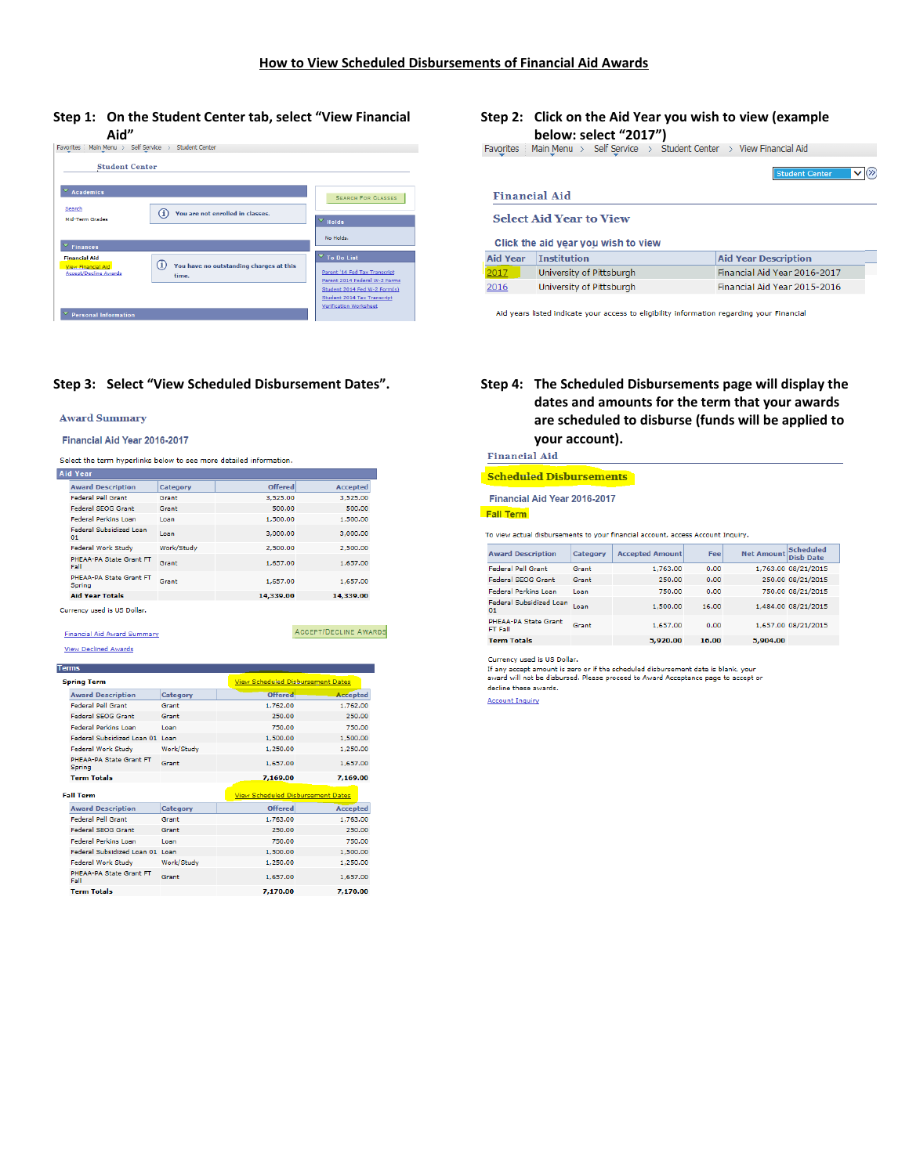### **Step 1: On the Student Center tab, select "View Financial Aid"**

| <b>Student Center</b>                                     |                                                  |                                                                |
|-----------------------------------------------------------|--------------------------------------------------|----------------------------------------------------------------|
|                                                           |                                                  |                                                                |
| ▽<br><b>Academics</b>                                     |                                                  | <b>SEARCH FOR CLASSES</b>                                      |
| Search<br><b>Mid-Term Grades</b>                          | Œ<br>You are not enrolled in classes.            | $\overline{\phantom{a}}$ Holds                                 |
| <b>Finances</b>                                           |                                                  | No Holds.                                                      |
| <b>Financial Aid</b>                                      |                                                  | $\overline{\mathbf{v}}$ To Do List                             |
| <b>View Financial Aid</b><br><b>Accept/Decline Awards</b> | You have no outstanding charges at this<br>time. | Parent '14 Fed Tax Transcript<br>Parent 2014 Federal W-2 Forms |
|                                                           |                                                  |                                                                |

### **Step 3: Select "View Scheduled Disbursement Dates". Step 4: The Scheduled Disbursements page will display the**

#### **Award Summary**

#### Financial Aid Year 2016-2017

Select the term hyperlinks below to see more detailed information.

| <b>Aid Year</b>                      |            |           |                 |
|--------------------------------------|------------|-----------|-----------------|
| <b>Award Description</b>             | Category   | Offered   | <b>Accepted</b> |
| <b>Federal Pell Grant</b>            | Grant      | 3,525.00  | 3,525.00        |
| <b>Federal SEOG Grant</b>            | Grant      | 500.00    | 500.00          |
| <b>Federal Perkins Loan</b>          | Loan       | 1,500.00  | 1,500.00        |
| <b>Federal Subsidized Loan</b><br>01 | Loan       | 3,000.00  | 3,000.00        |
| Federal Work Study                   | Work/Study | 2,500.00  | 2,500.00        |
| PHEAA-PA State Grant FT<br>Fall      | Grant      | 1,657.00  | 1,657.00        |
| PHEAA-PA State Grant FT<br>Spring    | Grant      | 1,657.00  | 1,657.00        |
| <b>Aid Year Totals</b>               |            | 14.339.00 | 14.339.00       |
| Currency used is US Dollar.          |            |           |                 |

ACCEPT/DECLINE AWARDS

## **Financial Aid Award Summary**

**View Declined Awards** 

#### **Terms**

| <b>Spring Term:</b>                      |            | <b>View Scheduled Disbursement Dates</b> |                 |
|------------------------------------------|------------|------------------------------------------|-----------------|
| <b>Award Description</b>                 | Category   | Offered                                  | <b>Accepted</b> |
| <b>Federal Pell Grant</b>                | Grant      | 1.762.00                                 | 1.762.00        |
| <b>Federal SEOG Grant</b>                | Grant      | 250.00                                   | 250.00          |
| <b>Federal Perkins Loan</b>              | Loan       | 750.00                                   | 750.00          |
| Federal Subsidized Loan 01 Loan          |            | 1,500.00                                 | 1,500.00        |
| Federal Work Study                       | Work/Study | 1,250.00                                 | 1,250.00        |
| <b>PHFAA-PA State Grant FT</b><br>Spring | Grant      | 1,657.00                                 | 1,657.00        |
| <b>Term Totals</b>                       |            | 7,169.00                                 | 7,169.00        |
| <b>Fall Term</b>                         |            | <b>View Scheduled Disbursement Dates</b> |                 |
| <b>Award Description</b>                 | Category   | Offered                                  | <b>Accepted</b> |
| <b>Federal Pell Grant</b>                | Grant      | 1.763.00                                 | 1.763.00        |
| <b>Federal SEOG Grant</b>                | Grant      | 250.00                                   | 250.00          |
| <b>Federal Perkins Loan</b>              | Loan       | 750.00                                   | 750.00          |
|                                          |            |                                          |                 |
| Federal Subsidized Loan 01, Loan         |            | 1,500.00                                 | 1,500.00        |
| Federal Work Study                       | Work/Study | 1.250.00                                 | 1,250.00        |
| <b>DHFAA-DA State Grant FT</b><br>Fall   | Grant      | 1,657.00                                 | 1,657.00        |

## **Step 2: Click on the Aid Year you wish to view (example below: select "2017")**<br>Favorites | Main Menu > Self Service > Student Center > View Financial Aid

|                 |                                     | <b>Student Center</b>        |  |  |  |
|-----------------|-------------------------------------|------------------------------|--|--|--|
| Financial Aid   |                                     |                              |  |  |  |
|                 | <b>Select Aid Year to View</b>      |                              |  |  |  |
|                 | Click the aid year you wish to view |                              |  |  |  |
| <b>Aid Year</b> | <b>Institution</b>                  | <b>Aid Year Description</b>  |  |  |  |
| 2017            | University of Pittsburgh            | Financial Aid Year 2016-2017 |  |  |  |
| 2016            | University of Pittsburgh            | Financial Aid Year 2015-2016 |  |  |  |

Aid years listed indicate your access to eligibility information regarding your Financial

## **dates and amounts for the term that your awards are scheduled to disburse (funds will be applied to your account).**

**Financial Aid** 

#### **Scheduled Disbursements**

#### Financial Aid Year 2016-2017

**Fall Term** 

To view actual disbursements to your financial account, access Account Inquiry.

| <b>Award Description</b>               | Category | <b>Accepted Amount</b> | Fee   | <b>Net Amount</b> | <b>Scheduled</b><br><b>Dish Date</b> |
|----------------------------------------|----------|------------------------|-------|-------------------|--------------------------------------|
| <b>Federal Pell Grant</b>              | Grant    | 1,763.00               | 0.00  |                   | 1,763.00 08/21/2015                  |
| <b>Federal SEOG Grant</b>              | Grant    | 250.00                 | 0.00  |                   | 250.00 08/21/2015                    |
| <b>Federal Perkins Loan</b>            | Loan     | 750.00                 | 0.00  |                   | 750.00 08/21/2015                    |
| Federal Subsidized Loan<br>01          | Loan     | 1,500.00               | 16.00 |                   | 1,484.00 08/21/2015                  |
| PHEAA-PA State Grant<br><b>FT Fall</b> | Grant    | 1,657.00               | 0.00  |                   | 1,657.00 08/21/2015                  |
| <b>Term Totals</b>                     |          | 5,920.00               | 16.00 | 5,904.00          |                                      |

Currency used is US Dollar.

If any accept amount is zero or if the scheduled disbursement date is blank, your<br>award will not be disbursed. Please proceed to Award Acceptance page to accept or

decline these awards.

**Account Inquiry**